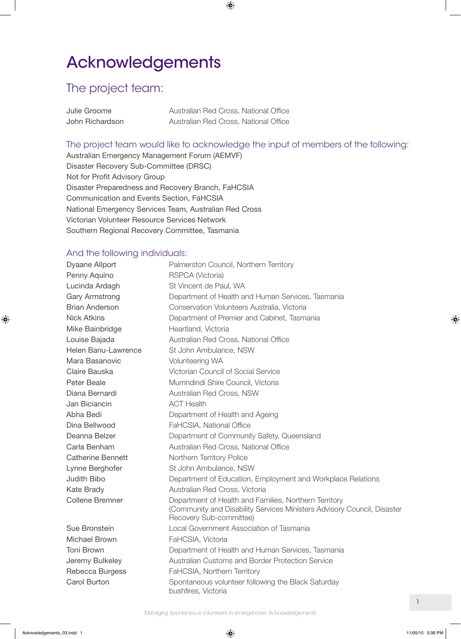## Acknowledgements

## The project team:

| Julie Groome    | Australian Red Cross, National Office |
|-----------------|---------------------------------------|
| John Richardson | Australian Red Cross, National Office |

## The project team would like to acknowledge the input of members of the following:

Australian Emergency Management Forum (AEMVF) Disaster Recovery Sub-Committee (DRSC) Not for Profit Advisory Group Disaster Preparedness and Recovery Branch, FaHCSIA Communication and Events Section, FaHCSIA National Emergency Services Team, Australian Red Cross Victorian Volunteer Resource Services Network Southern Regional Recovery Committee, Tasmania

## And the following individuals:

Dyaane Allport **Palmerston Council, Northern Territory** Penny Aquino RSPCA (Victoria) Lucinda Ardagh St Vincent de Paul, WA Gary Armstrong Department of Health and Human Services, Tasmania Brian Anderson Conservation Volunteers Australia, Victoria Nick Atkins Department of Premier and Cabinet, Tasmania Mike Bainbridge Heartland, Victoria Louise Bajada **Australian Red Cross, National Office** Helen Banu-Lawrence St John Ambulance, NSW Mara Basanovic **Volunteering WA** Claire Bauska Victorian Council of Social Service Peter Beale **Murrindindi Shire Council, Victoria** Diana Bernardi **Australian Red Cross, NSW** Jan Biciancin **ACT Health** Abha Bedi **Department of Health and Ageing** Dina Bellwood FaHCSIA, National Office Deanna Belzer **Department of Community Safety, Queensland** Carla Benham **Australian Red Cross, National Office** Catherine Bennett Northern Territory Police Lynne Berghofer St John Ambulance, NSW Judith Bibo Department of Education, Employment and Workplace Relations Kate Brady **Australian Red Cross, Victoria** Collene Bremner **Department of Health and Families, Northern Territory** (Community and Disability Services Ministers Advisory Council, Disaster Recovery Sub-committee) Sue Bronstein Local Government Association of Tasmania Michael Brown FaHCSIA, Victoria Toni Brown Department of Health and Human Services, Tasmania Jeremy Bulkeley Australian Customs and Border Protection Service Rebecca Burgess FaHCSIA, Northern Territory Carol Burton **Spontaneous volunteer following the Black Saturday** bushfires, Victoria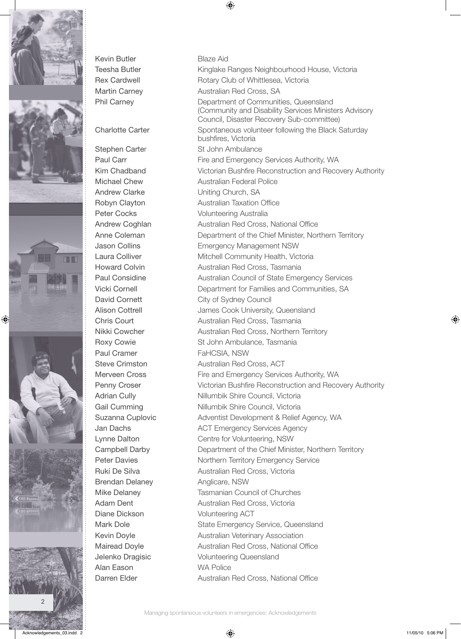









Kevin Butler Blaze Aid

Paul Cramer FaHCSIA, NSW Brendan Delaney **Anglicare, NSW** Alan Eason WA Police

Teesha Butler Kinglake Ranges Neighbourhood House, Victoria Rex Cardwell **Rotary Club of Whittlesea, Victoria** Martin Carney **Australian Red Cross, SA** Phil Carney **Department of Communities, Queensland** (Community and Disability Services Ministers Advisory Council, Disaster Recovery Sub-committee) Charlotte Carter Spontaneous volunteer following the Black Saturday bushfires, Victoria Stephen Carter St John Ambulance Paul Carr Fire and Emergency Services Authority, WA Kim Chadband Victorian Bushfire Reconstruction and Recovery Authority Michael Chew **Australian Federal Police** Andrew Clarke **Uniting Church, SA** Robyn Clayton **Australian Taxation Office** Peter Cocks Volunteering Australia Andrew Coghlan **Australian Red Cross, National Office** Anne Coleman **Department of the Chief Minister, Northern Territory** Jason Collins Emergency Management NSW Laura Colliver **Mitchell Community Health, Victoria** Howard Colvin **Australian Red Cross, Tasmania** Paul Considine **Australian Council of State Emergency Services** Vicki Cornell Department for Families and Communities, SA David Cornett City of Sydney Council Alison Cottrell **Alison** Cook University, Queensland Chris Court **Chris Court Australian Red Cross**, Tasmania Nikki Cowcher **Australian Red Cross, Northern Territory** Roxy Cowie St John Ambulance, Tasmania Steve Crimston **Australian Red Cross, ACT** Merveen Cross Fire and Emergency Services Authority, WA Penny Croser **Victorian Bushfire Reconstruction and Recovery Authority** Adrian Cully **Nillumbik Shire Council, Victoria** Gail Cumming Nillumbik Shire Council, Victoria Suzanna Cuplovic **Adventist Development & Relief Agency, WA** Jan Dachs **ACT Emergency Services Agency** Lynne Dalton Centre for Volunteering, NSW Campbell Darby **Department of the Chief Minister, Northern Territory** Peter Davies **Northern Territory Emergency Service** Ruki De Silva **Australian Red Cross, Victoria** Mike Delaney **Tasmanian Council of Churches** Adam Dent **Australian Red Cross, Victoria** Diane Dickson Volunteering ACT Mark Dole **State Emergency Service, Queensland** Kevin Doyle **Australian Veterinary Association** Mairead Doyle **Australian Red Cross, National Office** Jelenko Dragisic Volunteering Queensland Darren Elder **Australian Red Cross, National Office**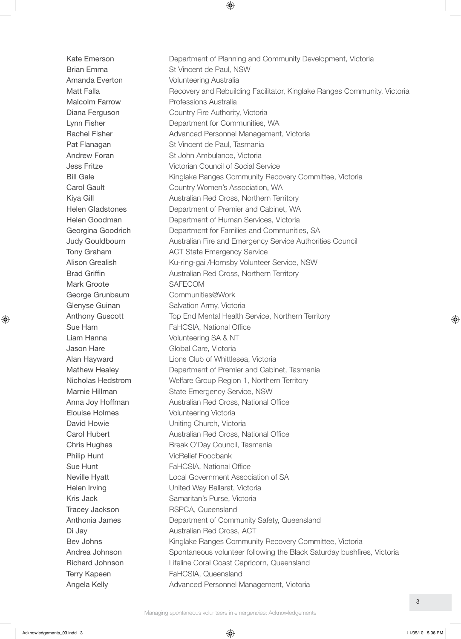Mark Groote SAFECOM Philip Hunt VicRelief Foodbank

Kate Emerson **Department of Planning and Community Development, Victoria** Brian Emma St Vincent de Paul, NSW Amanda Everton **Volunteering Australia** Matt Falla **Recovery and Rebuilding Facilitator, Kinglake Ranges Community, Victoria** Malcolm Farrow **Professions Australia** Diana Ferguson Country Fire Authority, Victoria Lynn Fisher **Department for Communities, WA** Rachel Fisher **Advanced Personnel Management, Victoria** Pat Flanagan St Vincent de Paul, Tasmania Andrew Foran St John Ambulance, Victoria Jess Fritze Victorian Council of Social Service Bill Gale **Kinglake Ranges Community Recovery Committee**, Victoria Carol Gault **Country Women's Association, WA** Kiya Gill **Australian Red Cross, Northern Territory** Helen Gladstones Department of Premier and Cabinet, WA Helen Goodman Department of Human Services, Victoria Georgina Goodrich **Department for Families and Communities, SA** Judy Gouldbourn Australian Fire and Emergency Service Authorities Council Tony Graham **ACT** State Emergency Service Alison Grealish Ku-ring-gai /Hornsby Volunteer Service, NSW Brad Griffin **Australian Red Cross, Northern Territory** George Grunbaum Communities@Work Glenyse Guinan Salvation Army, Victoria Anthony Guscott Top End Mental Health Service, Northern Territory Sue Ham FaHCSIA, National Office Liam Hanna Volunteering SA & NT Jason Hare **Global Care**, Victoria Alan Hayward Lions Club of Whittlesea, Victoria Mathew Healey Department of Premier and Cabinet, Tasmania Nicholas Hedstrom Welfare Group Region 1, Northern Territory Marnie Hillman State Emergency Service, NSW Anna Joy Hoffman **Australian Red Cross, National Office** Elouise Holmes **Volunteering Victoria** David Howie **Uniting Church, Victoria** Carol Hubert **Australian Red Cross, National Office** Chris Hughes **Break O'Day Council, Tasmania** Sue Hunt FaHCSIA, National Office Neville Hyatt **Local Government Association of SA** Helen Irving **Example 20** United Way Ballarat, Victoria Kris Jack Samaritan's Purse, Victoria Tracey Jackson RSPCA, Queensland Anthonia James Department of Community Safety, Queensland Di Jay **Australian Red Cross, ACT** Bev Johns **Kinglake Ranges Community Recovery Committee**, Victoria Andrea Johnson Spontaneous volunteer following the Black Saturday bushfires, Victoria Richard Johnson Lifeline Coral Coast Capricorn, Queensland Terry Kapeen FaHCSIA, Queensland Angela Kelly **Advanced Personnel Management, Victoria**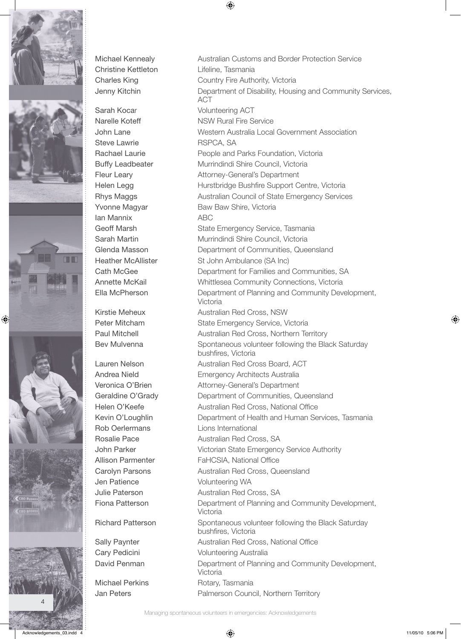







Sarah Kocar **Volunteering ACT** Steve Lawrie **RSPCA, SA** Ian Mannix ABC

Jen Patience Volunteering WA

Michael Kennealy Australian Customs and Border Protection Service Christine Kettleton Lifeline, Tasmania Charles King **Country Fire Authority, Victoria** Jenny Kitchin Department of Disability, Housing and Community Services, ACT Narelle Koteff NSW Rural Fire Service John Lane Western Australia Local Government Association Rachael Laurie People and Parks Foundation, Victoria Buffy Leadbeater Murrindindi Shire Council, Victoria Fleur Leary **Attorney-General's Department** Helen Legg **Hurstbridge Bushfire Support Centre, Victoria** Rhys Maggs **Australian Council of State Emergency Services** Yvonne Magyar Baw Baw Shire, Victoria Geoff Marsh State Emergency Service, Tasmania Sarah Martin Murrindindi Shire Council, Victoria Glenda Masson **Department of Communities, Queensland** Heather McAllister St John Ambulance (SA Inc) Cath McGee **Department for Families and Communities, SA** Annette McKail Whittlesea Community Connections, Victoria Ella McPherson Department of Planning and Community Development, Victoria Kirstie Meheux **Australian Red Cross, NSW** Peter Mitcham State Emergency Service, Victoria Paul Mitchell **Australian Red Cross, Northern Territory** Bev Mulvenna Spontaneous volunteer following the Black Saturday bushfires, Victoria Lauren Nelson **Australian Red Cross Board, ACT** Andrea Nield **Emergency Architects Australia** Veronica O'Brien **Attorney-General's Department** Geraldine O'Grady **Department of Communities, Queensland** Helen O'Keefe **Australian Red Cross, National Office** Kevin O'Loughlin **Department of Health and Human Services**, Tasmania Rob Oerlermans **Lions** International Rosalie Pace **Australian Red Cross, SA** John Parker **Victorian State Emergency Service Authority** Allison Parmenter FaHCSIA, National Office Carolyn Parsons **Australian Red Cross, Queensland** Julie Paterson **Australian Red Cross, SA** Fiona Patterson **Department of Planning and Community Development,** Victoria Richard Patterson Spontaneous volunteer following the Black Saturday bushfires, Victoria Sally Paynter **Australian Red Cross, National Office** Cary Pedicini **Volunteering Australia** David Penman **Department of Planning and Community Development**, Victoria Michael Perkins Rotary, Tasmania Jan Peters **Palmerson Council, Northern Territory**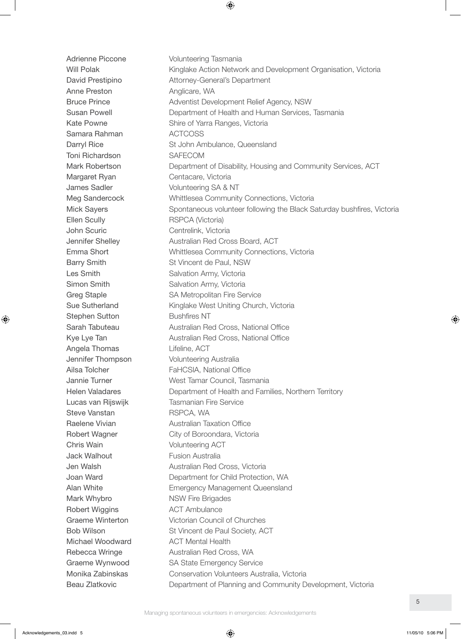Adrienne Piccone **Volunteering Tasmania** Will Polak **Kinglake Action Network and Development Organisation**, Victoria David Prestipino Attorney-General's Department Anne Preston Anglicare, WA Bruce Prince **Adventist Development Relief Agency, NSW** Susan Powell Department of Health and Human Services, Tasmania Kate Powne Shire of Yarra Ranges, Victoria Samara Rahman **ACTCOSS** Darryl Rice **St John Ambulance, Queensland** Toni Richardson SAFECOM Mark Robertson **Department of Disability, Housing and Community Services, ACT** Margaret Ryan Centacare, Victoria James Sadler Volunteering SA & NT Meg Sandercock Whittlesea Community Connections, Victoria Mick Sayers Spontaneous volunteer following the Black Saturday bushfires, Victoria Ellen Scully RSPCA (Victoria) John Scuric **Centrelink**, Victoria Jennifer Shelley **Australian Red Cross Board, ACT** Emma Short Whittlesea Community Connections, Victoria Barry Smith St Vincent de Paul, NSW Les Smith Salvation Army, Victoria Simon Smith Salvation Army, Victoria Greg Staple SA Metropolitan Fire Service Sue Sutherland Kinglake West Uniting Church, Victoria Stephen Sutton Bushfires NT Sarah Tabuteau **Australian Red Cross, National Office** Kye Lye Tan **Australian Red Cross, National Office** Angela Thomas **Lifeline**, ACT **Jennifer Thompson Volunteering Australia** Ailsa Tolcher FaHCSIA, National Office Jannie Turner West Tamar Council, Tasmania Helen Valadares **Department of Health and Families, Northern Territory** Lucas van Rijswijk Tasmanian Fire Service Steve Vanstan RSPCA, WA Raelene Vivian **Australian Taxation Office** Robert Wagner City of Boroondara, Victoria Chris Wain Volunteering ACT **Jack Walhout Fusion Australia Jen Walsh Channel Australian Red Cross, Victoria** Joan Ward Department for Child Protection, WA Alan White Emergency Management Queensland Mark Whybro NSW Fire Brigades Robert Wiggins **ACT** Ambulance Graeme Winterton Victorian Council of Churches Bob Wilson St Vincent de Paul Society, ACT Michael Woodward **ACT Mental Health** Rebecca Wringe **Australian Red Cross, WA** Graeme Wynwood SA State Emergency Service Monika Zabinskas Conservation Volunteers Australia, Victoria Beau Zlatkovic **Department of Planning and Community Development, Victoria**